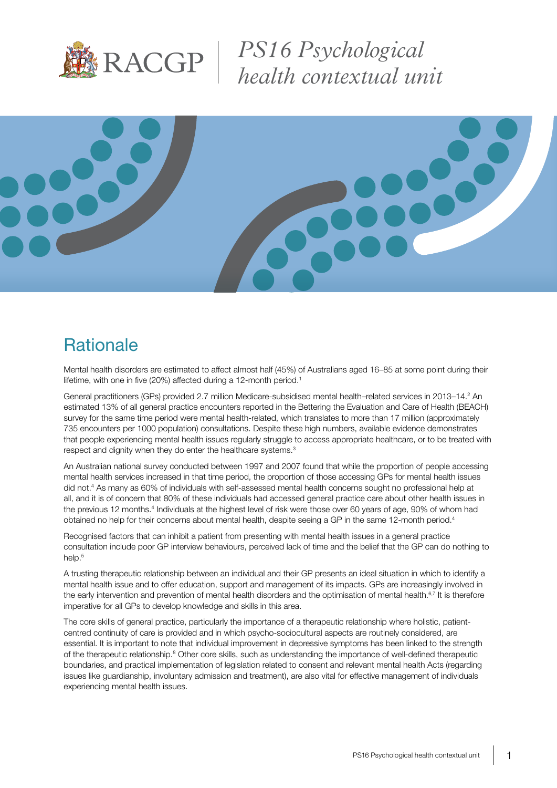

*PS16 Psychological health contextual unit*



# **Rationale**

Mental health disorders are estimated to affect almost half (45%) of Australians aged 16–85 at some point during their lifetime, with one in five (20%) affected during a 12-month period.<sup>1</sup>

General practitioners (GPs) provided 2.7 million Medicare-subsidised mental health–related services in 2013–14.<sup>2</sup> An estimated 13% of all general practice encounters reported in the Bettering the Evaluation and Care of Health (BEACH) survey for the same time period were mental health-related, which translates to more than 17 million (approximately 735 encounters per 1000 population) consultations. Despite these high numbers, available evidence demonstrates that people experiencing mental health issues regularly struggle to access appropriate healthcare, or to be treated with respect and dignity when they do enter the healthcare systems.<sup>3</sup>

An Australian national survey conducted between 1997 and 2007 found that while the proportion of people accessing mental health services increased in that time period, the proportion of those accessing GPs for mental health issues did not.4 As many as 60% of individuals with self-assessed mental health concerns sought no professional help at all, and it is of concern that 80% of these individuals had accessed general practice care about other health issues in the previous 12 months.<sup>4</sup> Individuals at the highest level of risk were those over 60 years of age, 90% of whom had obtained no help for their concerns about mental health, despite seeing a GP in the same 12-month period.4

Recognised factors that can inhibit a patient from presenting with mental health issues in a general practice consultation include poor GP interview behaviours, perceived lack of time and the belief that the GP can do nothing to help.<sup>5</sup>

A trusting therapeutic relationship between an individual and their GP presents an ideal situation in which to identify a mental health issue and to offer education, support and management of its impacts. GPs are increasingly involved in the early intervention and prevention of mental health disorders and the optimisation of mental health.<sup>6,7</sup> It is therefore imperative for all GPs to develop knowledge and skills in this area.

The core skills of general practice, particularly the importance of a therapeutic relationship where holistic, patientcentred continuity of care is provided and in which psycho-sociocultural aspects are routinely considered, are essential. It is important to note that individual improvement in depressive symptoms has been linked to the strength of the therapeutic relationship.<sup>8</sup> Other core skills, such as understanding the importance of well-defined therapeutic boundaries, and practical implementation of legislation related to consent and relevant mental health Acts (regarding issues like guardianship, involuntary admission and treatment), are also vital for effective management of individuals experiencing mental health issues.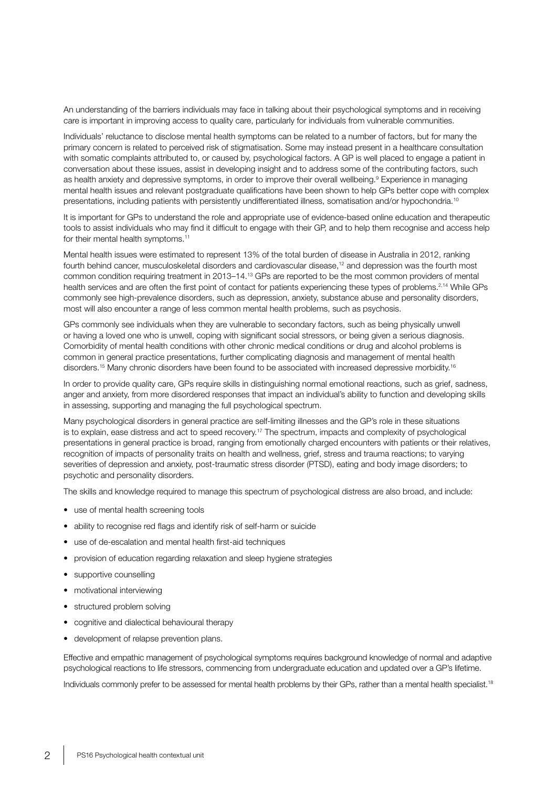An understanding of the barriers individuals may face in talking about their psychological symptoms and in receiving care is important in improving access to quality care, particularly for individuals from vulnerable communities.

Individuals' reluctance to disclose mental health symptoms can be related to a number of factors, but for many the primary concern is related to perceived risk of stigmatisation. Some may instead present in a healthcare consultation with somatic complaints attributed to, or caused by, psychological factors. A GP is well placed to engage a patient in conversation about these issues, assist in developing insight and to address some of the contributing factors, such as health anxiety and depressive symptoms, in order to improve their overall wellbeing.<sup>9</sup> Experience in managing mental health issues and relevant postgraduate qualifications have been shown to help GPs better cope with complex presentations, including patients with persistently undifferentiated illness, somatisation and/or hypochondria.<sup>10</sup>

It is important for GPs to understand the role and appropriate use of evidence-based online education and therapeutic tools to assist individuals who may find it difficult to engage with their GP, and to help them recognise and access help for their mental health symptoms.<sup>11</sup>

Mental health issues were estimated to represent 13% of the total burden of disease in Australia in 2012, ranking fourth behind cancer, musculoskeletal disorders and cardiovascular disease,12 and depression was the fourth most common condition requiring treatment in 2013–14.13 GPs are reported to be the most common providers of mental health services and are often the first point of contact for patients experiencing these types of problems.<sup>2,14</sup> While GPs commonly see high-prevalence disorders, such as depression, anxiety, substance abuse and personality disorders, most will also encounter a range of less common mental health problems, such as psychosis.

GPs commonly see individuals when they are vulnerable to secondary factors, such as being physically unwell or having a loved one who is unwell, coping with significant social stressors, or being given a serious diagnosis. Comorbidity of mental health conditions with other chronic medical conditions or drug and alcohol problems is common in general practice presentations, further complicating diagnosis and management of mental health disorders.<sup>15</sup> Many chronic disorders have been found to be associated with increased depressive morbidity.<sup>16</sup>

In order to provide quality care, GPs require skills in distinguishing normal emotional reactions, such as grief, sadness, anger and anxiety, from more disordered responses that impact an individual's ability to function and developing skills in assessing, supporting and managing the full psychological spectrum.

Many psychological disorders in general practice are self-limiting illnesses and the GP's role in these situations is to explain, ease distress and act to speed recovery.<sup>17</sup> The spectrum, impacts and complexity of psychological presentations in general practice is broad, ranging from emotionally charged encounters with patients or their relatives, recognition of impacts of personality traits on health and wellness, grief, stress and trauma reactions; to varying severities of depression and anxiety, post-traumatic stress disorder (PTSD), eating and body image disorders; to psychotic and personality disorders.

The skills and knowledge required to manage this spectrum of psychological distress are also broad, and include:

- use of mental health screening tools
- ability to recognise red flags and identify risk of self-harm or suicide
- use of de-escalation and mental health first-aid techniques
- provision of education regarding relaxation and sleep hygiene strategies
- supportive counselling
- motivational interviewing
- structured problem solving
- cognitive and dialectical behavioural therapy
- development of relapse prevention plans.

Effective and empathic management of psychological symptoms requires background knowledge of normal and adaptive psychological reactions to life stressors, commencing from undergraduate education and updated over a GP's lifetime.

Individuals commonly prefer to be assessed for mental health problems by their GPs, rather than a mental health specialist.<sup>18</sup>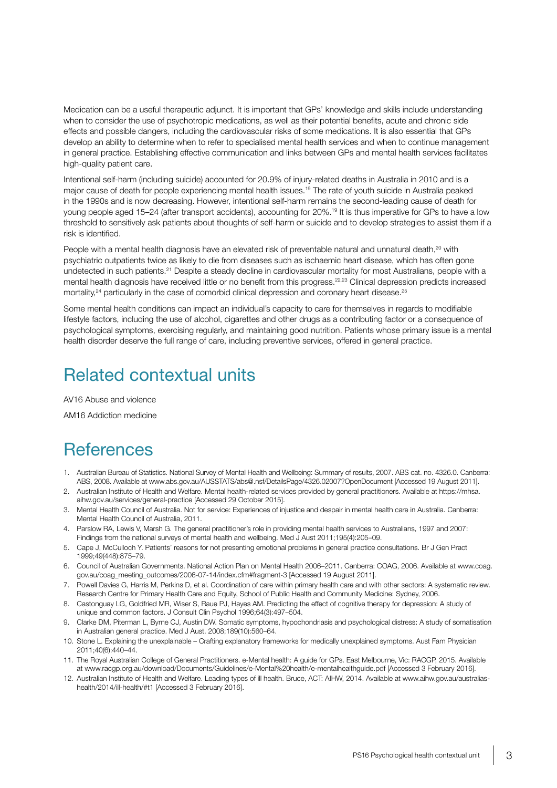Medication can be a useful therapeutic adjunct. It is important that GPs' knowledge and skills include understanding when to consider the use of psychotropic medications, as well as their potential benefits, acute and chronic side effects and possible dangers, including the cardiovascular risks of some medications. It is also essential that GPs develop an ability to determine when to refer to specialised mental health services and when to continue management in general practice. Establishing effective communication and links between GPs and mental health services facilitates high-quality patient care.

Intentional self-harm (including suicide) accounted for 20.9% of injury-related deaths in Australia in 2010 and is a major cause of death for people experiencing mental health issues.19 The rate of youth suicide in Australia peaked in the 1990s and is now decreasing. However, intentional self-harm remains the second-leading cause of death for young people aged 15–24 (after transport accidents), accounting for 20%.19 It is thus imperative for GPs to have a low threshold to sensitively ask patients about thoughts of self-harm or suicide and to develop strategies to assist them if a risk is identified.

People with a mental health diagnosis have an elevated risk of preventable natural and unnatural death,<sup>20</sup> with psychiatric outpatients twice as likely to die from diseases such as ischaemic heart disease, which has often gone undetected in such patients.<sup>21</sup> Despite a steady decline in cardiovascular mortality for most Australians, people with a mental health diagnosis have received little or no benefit from this progress.<sup>22,23</sup> Clinical depression predicts increased mortality,<sup>24</sup> particularly in the case of comorbid clinical depression and coronary heart disease.<sup>25</sup>

Some mental health conditions can impact an individual's capacity to care for themselves in regards to modifiable lifestyle factors, including the use of alcohol, cigarettes and other drugs as a contributing factor or a consequence of psychological symptoms, exercising regularly, and maintaining good nutrition. Patients whose primary issue is a mental health disorder deserve the full range of care, including preventive services, offered in general practice.

# Related contextual units

AV16 Abuse and violence

AM16 Addiction medicine

### **References**

- 1. Australian Bureau of Statistics. National Survey of Mental Health and Wellbeing: Summary of results, 2007. ABS cat. no. 4326.0. Canberra: ABS, 2008. Available at [www.abs.gov.au/AUSSTATS/abs@.nsf/DetailsPage/4326.02007?OpenDocument](http://www.abs.gov.au/AUSSTATS/abs@.nsf/DetailsPage/4326.02007?OpenDocument) [Accessed 19 August 2011].
- 2. Australian Institute of Health and Welfare. Mental health-related services provided by general practitioners. Available at https://mhsa. aihw.gov.au/services/general-practice [Accessed 29 October 2015].
- 3. Mental Health Council of Australia. Not for service: Experiences of injustice and despair in mental health care in Australia. Canberra: Mental Health Council of Australia, 2011.
- 4. Parslow RA, Lewis V, Marsh G. The general practitioner's role in providing mental health services to Australians, 1997 and 2007: Findings from the national surveys of mental health and wellbeing. Med J Aust 2011;195(4):205–09.
- 5. Cape J, McCulloch Y. Patients' reasons for not presenting emotional problems in general practice consultations. Br J Gen Pract 1999;49(448):875–79.
- 6. Council of Australian Governments. National Action Plan on Mental Health 2006–2011. Canberra: COAG, 2006. Available at www.coag. gov.au/coag\_meeting\_outcomes/2006-07-14/index.cfm#fragment-3 [Accessed 19 August 2011].
- 7. Powell Davies G, Harris M, Perkins D, et al. Coordination of care within primary health care and with other sectors: A systematic review. Research Centre for Primary Health Care and Equity, School of Public Health and Community Medicine: Sydney, 2006.
- 8. Castonguay LG, Goldfried MR, Wiser S, Raue PJ, Hayes AM. Predicting the effect of cognitive therapy for depression: A study of unique and common factors. J Consult Clin Psychol 1996;64(3):497–504.
- 9. Clarke DM, Piterman L, Byrne CJ, Austin DW. Somatic symptoms, hypochondriasis and psychological distress: A study of somatisation in Australian general practice. Med J Aust. 2008;189(10):560–64.
- 10. Stone L. Explaining the unexplainable Crafting explanatory frameworks for medically unexplained symptoms. Aust Fam Physician 2011;40(6):440–44.
- 11. The Royal Australian College of General Practitioners. e-Mental health: A guide for GPs. East Melbourne, Vic: RACGP, 2015. Available at [www.racgp.org.au/download/Documents/Guidelines/e-Mental%20health/e-mentalhealthguide.pdf](http://www.racgp.org.au/download/Documents/Guidelines/e-Mental%20health/e-mentalhealthguide.pdf) [Accessed 3 February 2016].
- 12. Australian Institute of Health and Welfare. Leading types of ill health. Bruce, ACT: AIHW, 2014. Available at www.aihw.gov.au/australiashealth/2014/ill-health/#t1 [Accessed 3 February 2016].